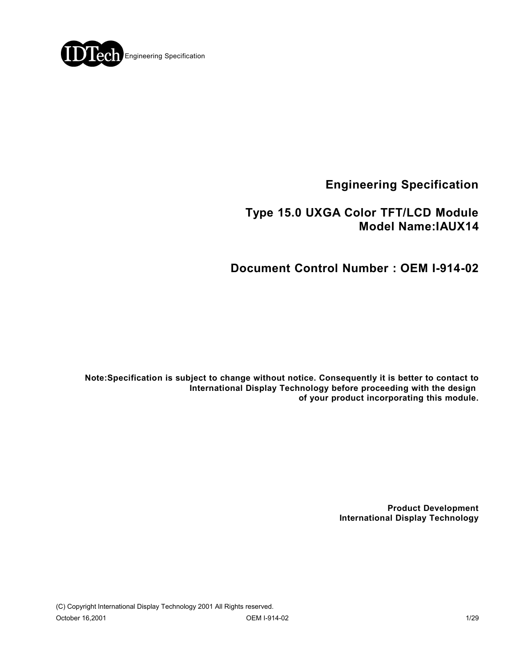

**Engineering Specification**

## **Type 15.0 UXGA Color TFT/LCD Module Model Name:IAUX14**

## **Document Control Number : OEM I-914-02**

**Note:Specification is subject to change without notice. Consequently it is better to contact to International Display Technology before proceeding with the design of your product incorporating this module.**

> **Product Development International Display Technology**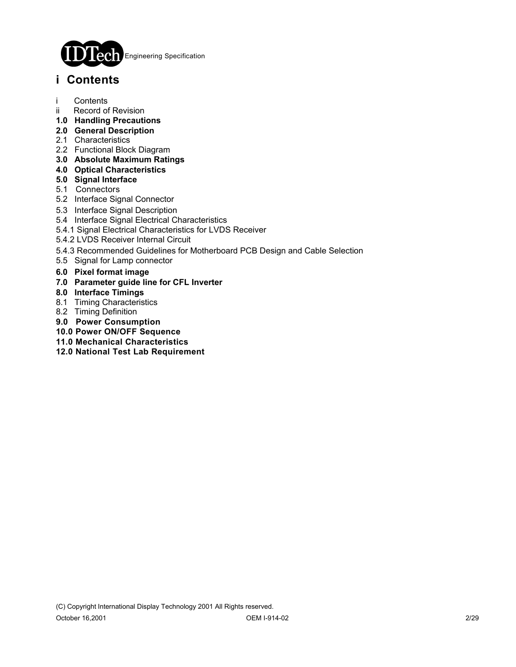

## **i Contents**

- i Contents
- ii Record of Revision
- **1.0 Handling Precautions**
- **2.0 General Description**
- 2.1 Characteristics
- 2.2 Functional Block Diagram
- **3.0 Absolute Maximum Ratings**
- **4.0 Optical Characteristics**
- **5.0 Signal Interface**
- 5.1 Connectors
- 5.2 Interface Signal Connector
- 5.3 Interface Signal Description
- 5.4 Interface Signal Electrical Characteristics
- 5.4.1 Signal Electrical Characteristics for LVDS Receiver
- 5.4.2 LVDS Receiver Internal Circuit
- 5.4.3 Recommended Guidelines for Motherboard PCB Design and Cable Selection
- 5.5 Signal for Lamp connector
- **6.0 Pixel format image**
- **7.0 Parameter guide line for CFL Inverter**
- **8.0 Interface Timings**
- 8.1 Timing Characteristics
- 8.2 Timing Definition
- **9.0 Power Consumption**
- **10.0 Power ON/OFF Sequence**
- **11.0 Mechanical Characteristics**
- **12.0 National Test Lab Requirement**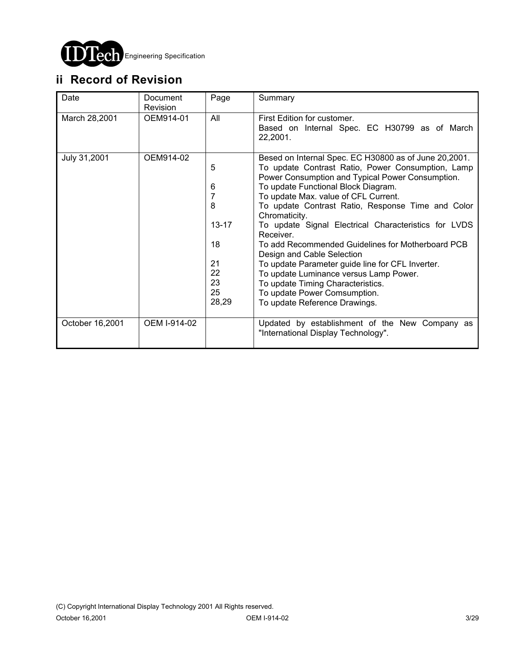

# **ii Record of Revision**

| Date            | Document<br>Revision | Page                                                                 | Summary                                                                                                                                                                                                                                                                                                                                                                                                                                                                                                                                                                                                                                                                         |
|-----------------|----------------------|----------------------------------------------------------------------|---------------------------------------------------------------------------------------------------------------------------------------------------------------------------------------------------------------------------------------------------------------------------------------------------------------------------------------------------------------------------------------------------------------------------------------------------------------------------------------------------------------------------------------------------------------------------------------------------------------------------------------------------------------------------------|
| March 28,2001   | OEM914-01            | All                                                                  | First Edition for customer.<br>Based on Internal Spec. EC H30799 as of March<br>22,2001.                                                                                                                                                                                                                                                                                                                                                                                                                                                                                                                                                                                        |
| July 31,2001    | OEM914-02            | 5<br>6<br>7<br>8<br>$13 - 17$<br>18<br>21<br>22<br>23<br>25<br>28,29 | Besed on Internal Spec. EC H30800 as of June 20,2001.<br>To update Contrast Ratio, Power Consumption, Lamp<br>Power Consumption and Typical Power Consumption.<br>To update Functional Block Diagram.<br>To update Max. value of CFL Current.<br>To update Contrast Ratio, Response Time and Color<br>Chromaticity.<br>To update Signal Electrical Characteristics for LVDS<br>Receiver.<br>To add Recommended Guidelines for Motherboard PCB<br>Design and Cable Selection<br>To update Parameter guide line for CFL Inverter.<br>To update Luminance versus Lamp Power.<br>To update Timing Characteristics.<br>To update Power Comsumption.<br>To update Reference Drawings. |
| October 16,2001 | OEM I-914-02         |                                                                      | Updated by establishment of the New Company as<br>"International Display Technology".                                                                                                                                                                                                                                                                                                                                                                                                                                                                                                                                                                                           |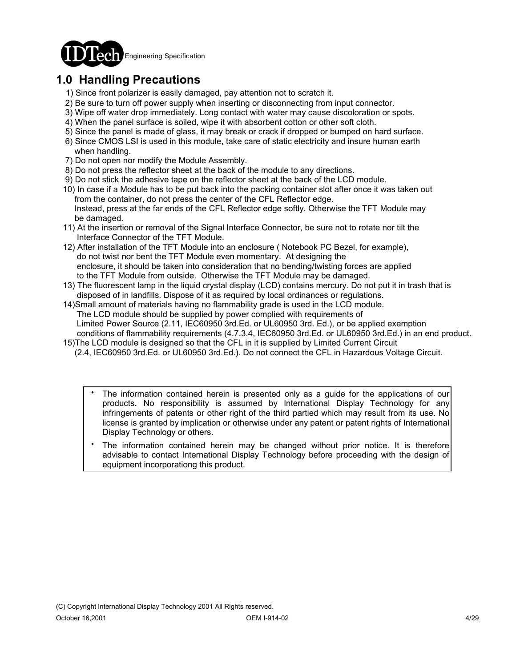

# **1.0 Handling Precautions**

- 1) Since front polarizer is easily damaged, pay attention not to scratch it.
- 2) Be sure to turn off power supply when inserting or disconnecting from input connector.
- 3) Wipe off water drop immediately. Long contact with water may cause discoloration or spots.
- 4) When the panel surface is soiled, wipe it with absorbent cotton or other soft cloth.
- 5) Since the panel is made of glass, it may break or crack if dropped or bumped on hard surface.
- 6) Since CMOS LSI is used in this module, take care of static electricity and insure human earth when handling.
- 7) Do not open nor modify the Module Assembly.
- 8) Do not press the reflector sheet at the back of the module to any directions.
- 9) Do not stick the adhesive tape on the reflector sheet at the back of the LCD module.
- 10) In case if a Module has to be put back into the packing container slot after once it was taken out from the container, do not press the center of the CFL Reflector edge. Instead, press at the far ends of the CFL Reflector edge softly. Otherwise the TFT Module may be damaged.
- 11) At the insertion or removal of the Signal Interface Connector, be sure not to rotate nor tilt the Interface Connector of the TFT Module.
- 12) After installation of the TFT Module into an enclosure ( Notebook PC Bezel, for example), do not twist nor bent the TFT Module even momentary. At designing the enclosure, it should be taken into consideration that no bending/twisting forces are applied to the TFT Module from outside. Otherwise the TFT Module may be damaged.
- 13) The fluorescent lamp in the liquid crystal display (LCD) contains mercury. Do not put it in trash that is disposed of in landfills. Dispose of it as required by local ordinances or regulations.
- 14)Small amount of materials having no flammability grade is used in the LCD module. The LCD module should be supplied by power complied with requirements of Limited Power Source (2.11, IEC60950 3rd.Ed. or UL60950 3rd. Ed.), or be applied exemption conditions of flammability requirements (4.7.3.4, IEC60950 3rd.Ed. or UL60950 3rd.Ed.) in an end product.
- 15)The LCD module is designed so that the CFL in it is supplied by Limited Current Circuit (2.4, IEC60950 3rd.Ed. or UL60950 3rd.Ed.). Do not connect the CFL in Hazardous Voltage Circuit.
	- The information contained herein is presented only as a guide for the applications of our products. No responsibility is assumed by International Display Technology for any infringements of patents or other right of the third partied which may result from its use. No license is granted by implication or otherwise under any patent or patent rights of International Display Technology or others. .
	- The information contained herein may be changed without prior notice. It is therefore advisable to contact International Display Technology before proceeding with the design of equipment incorporationg this product. .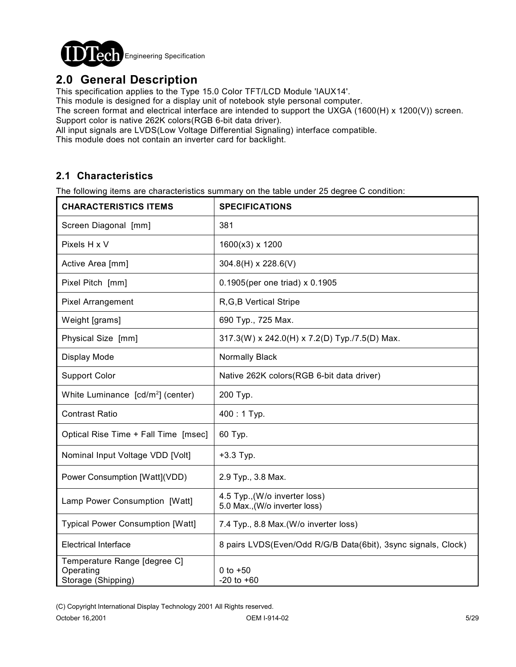

## **2.0 General Description**

This specification applies to the Type 15.0 Color TFT/LCD Module 'IAUX14'.

This module is designed for a display unit of notebook style personal computer.

The screen format and electrical interface are intended to support the UXGA (1600(H) x 1200(V)) screen. Support color is native 262K colors(RGB 6-bit data driver).

All input signals are LVDS(Low Voltage Differential Signaling) interface compatible.

This module does not contain an inverter card for backlight.

### **2.1 Characteristics**

The following items are characteristics summary on the table under 25 degree C condition:

| <b>CHARACTERISTICS ITEMS</b>                                    | <b>SPECIFICATIONS</b>                                          |  |  |  |  |
|-----------------------------------------------------------------|----------------------------------------------------------------|--|--|--|--|
| Screen Diagonal [mm]                                            | 381                                                            |  |  |  |  |
| Pixels H x V                                                    | 1600(x3) x 1200                                                |  |  |  |  |
| Active Area [mm]                                                | $304.8(H) \times 228.6(V)$                                     |  |  |  |  |
| Pixel Pitch [mm]                                                | 0.1905(per one triad) x 0.1905                                 |  |  |  |  |
| <b>Pixel Arrangement</b>                                        | R, G, B Vertical Stripe                                        |  |  |  |  |
| Weight [grams]                                                  | 690 Typ., 725 Max.                                             |  |  |  |  |
| Physical Size [mm]                                              | 317.3(W) x 242.0(H) x 7.2(D) Typ./7.5(D) Max.                  |  |  |  |  |
| Display Mode                                                    | Normally Black                                                 |  |  |  |  |
| <b>Support Color</b>                                            | Native 262K colors(RGB 6-bit data driver)                      |  |  |  |  |
| White Luminance [cd/m <sup>2</sup> ] (center)                   | 200 Typ.                                                       |  |  |  |  |
| <b>Contrast Ratio</b>                                           | $400:1$ Typ.                                                   |  |  |  |  |
| Optical Rise Time + Fall Time [msec]                            | 60 Typ.                                                        |  |  |  |  |
| Nominal Input Voltage VDD [Volt]                                | $+3.3$ Typ.                                                    |  |  |  |  |
| Power Consumption [Watt](VDD)                                   | 2.9 Typ., 3.8 Max.                                             |  |  |  |  |
| Lamp Power Consumption [Watt]                                   | 4.5 Typ., (W/o inverter loss)<br>5.0 Max., (W/o inverter loss) |  |  |  |  |
| <b>Typical Power Consumption [Watt]</b>                         | 7.4 Typ., 8.8 Max.(W/o inverter loss)                          |  |  |  |  |
| <b>Electrical Interface</b>                                     | 8 pairs LVDS(Even/Odd R/G/B Data(6bit), 3sync signals, Clock)  |  |  |  |  |
| Temperature Range [degree C]<br>Operating<br>Storage (Shipping) | 0 to $+50$<br>$-20$ to $+60$                                   |  |  |  |  |

(C) Copyright International Display Technology 2001 All Rights reserved.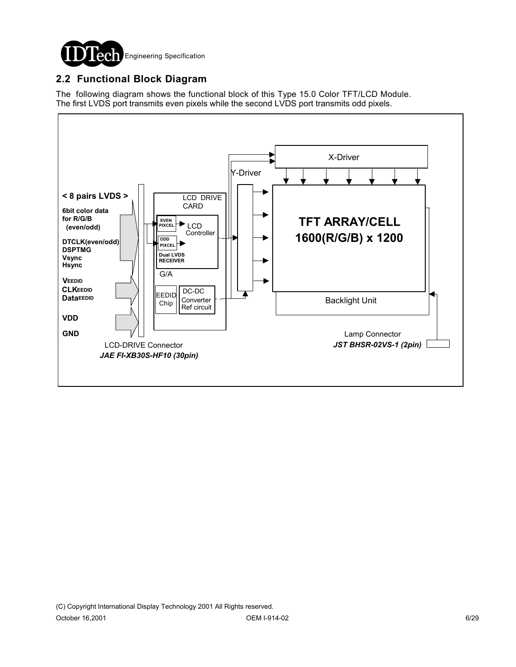

### **2.2 Functional Block Diagram**

The following diagram shows the functional block of this Type 15.0 Color TFT/LCD Module. The first LVDS port transmits even pixels while the second LVDS port transmits odd pixels.

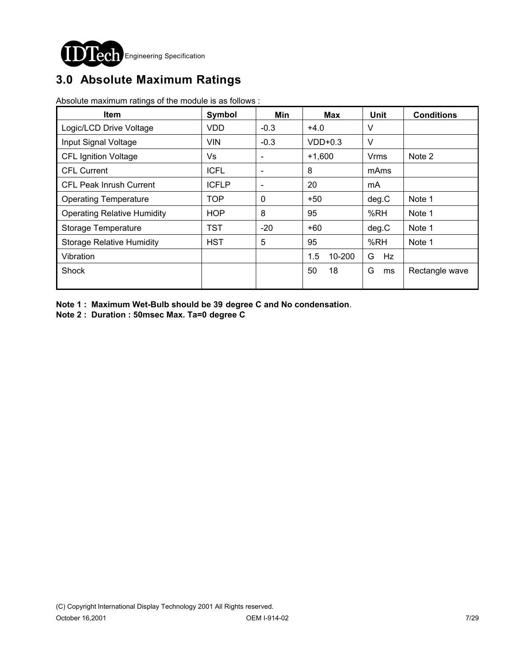

# **3.0 Absolute Maximum Ratings**

Absolute maximum ratings of the module is as follows :

| <b>Item</b>                        | Symbol       | Min                      | Max           | <b>Unit</b> | <b>Conditions</b> |
|------------------------------------|--------------|--------------------------|---------------|-------------|-------------------|
| Logic/LCD Drive Voltage            | <b>VDD</b>   | $-0.3$                   | $+4.0$        | V           |                   |
| Input Signal Voltage               | <b>VIN</b>   | $-0.3$                   | $VDD+0.3$     | $\vee$      |                   |
| <b>CFL Ignition Voltage</b>        | Vs           | $\overline{\phantom{a}}$ | $+1,600$      | Vrms        | Note 2            |
| <b>CFL Current</b>                 | <b>ICFL</b>  | $\overline{\phantom{a}}$ | 8             | mAms        |                   |
| <b>CFL Peak Inrush Current</b>     | <b>ICFLP</b> | $\overline{\phantom{a}}$ | 20            | mA          |                   |
| <b>Operating Temperature</b>       | <b>TOP</b>   | $\mathbf 0$              | $+50$         | deg.C       | Note 1            |
| <b>Operating Relative Humidity</b> | <b>HOP</b>   | 8                        | 95            | %RH         | Note 1            |
| Storage Temperature                | TST          | $-20$                    | +60           | deg.C       | Note 1            |
| <b>Storage Relative Humidity</b>   | <b>HST</b>   | 5                        | 95            | %RH         | Note 1            |
| Vibration                          |              |                          | 1.5<br>10-200 | G<br>Hz     |                   |
| <b>Shock</b>                       |              |                          | 50<br>18      | G<br>ms     | Rectangle wave    |

**Note 1 : Maximum Wet-Bulb should be 39 degree C and No condensation**.

**Note 2 : Duration : 50msec Max. Ta=0 degree C**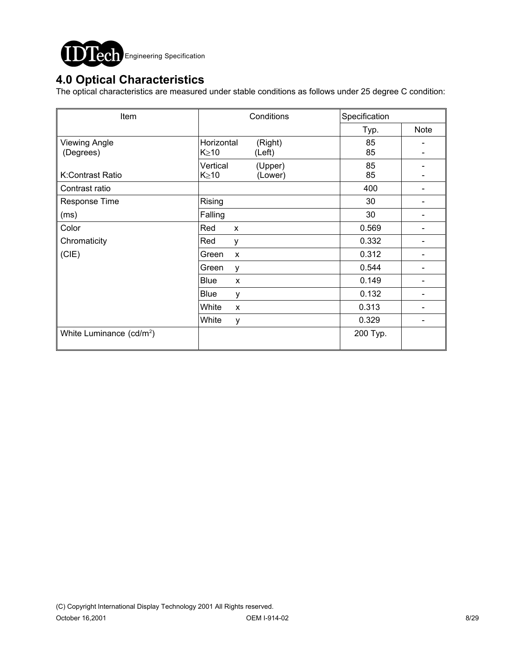

### **4.0 Optical Characteristics**

The optical characteristics are measured under stable conditions as follows under 25 degree C condition:

| Item                                 | Conditions                                     | Specification       |  |
|--------------------------------------|------------------------------------------------|---------------------|--|
|                                      |                                                | <b>Note</b><br>Typ. |  |
| <b>Viewing Angle</b><br>(Degrees)    | Horizontal<br>(Right)<br>$K \geq 10$<br>(Left) | 85<br>85            |  |
| K:Contrast Ratio                     | Vertical<br>(Upper)<br>$K \geq 10$<br>(Lower)  | 85<br>85            |  |
| Contrast ratio                       |                                                | 400                 |  |
| Response Time                        | Rising                                         | 30                  |  |
| (ms)                                 | Falling                                        | 30                  |  |
| Color                                | Red<br>X                                       | 0.569               |  |
| Chromaticity                         | Red<br>у                                       | 0.332               |  |
| (CIE)                                | Green<br>$\mathsf{x}$                          | 0.312               |  |
|                                      | Green<br>y                                     | 0.544               |  |
|                                      | <b>Blue</b><br>X                               | 0.149               |  |
|                                      | Blue<br>у                                      | 0.132               |  |
|                                      | White<br>X                                     | 0.313               |  |
|                                      | White<br>у                                     | 0.329               |  |
| White Luminance (cd/m <sup>2</sup> ) |                                                | 200 Typ.            |  |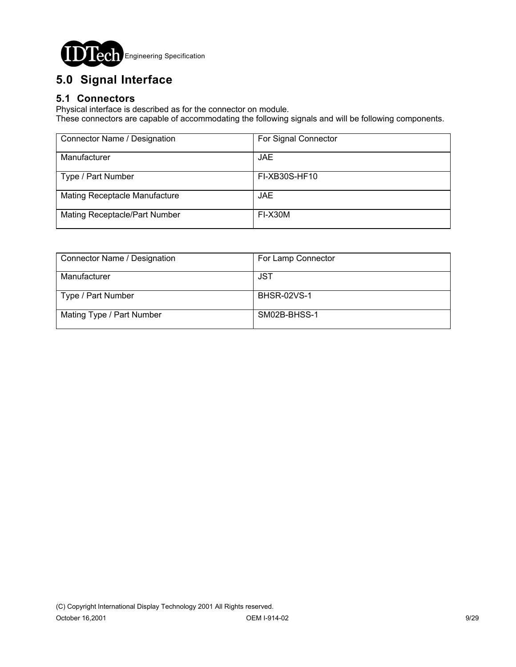

# **5.0 Signal Interface**

### **5.1 Connectors**

Physical interface is described as for the connector on module.

These connectors are capable of accommodating the following signals and will be following components.

| Connector Name / Designation  | For Signal Connector |
|-------------------------------|----------------------|
| Manufacturer                  | JAE.                 |
| Type / Part Number            | FI-XB30S-HF10        |
| Mating Receptacle Manufacture | JAE.                 |
| Mating Receptacle/Part Number | FI-X30M              |

| Connector Name / Designation | For Lamp Connector |  |  |
|------------------------------|--------------------|--|--|
| Manufacturer                 | JST                |  |  |
| Type / Part Number           | <b>BHSR-02VS-1</b> |  |  |
| Mating Type / Part Number    | SM02B-BHSS-1       |  |  |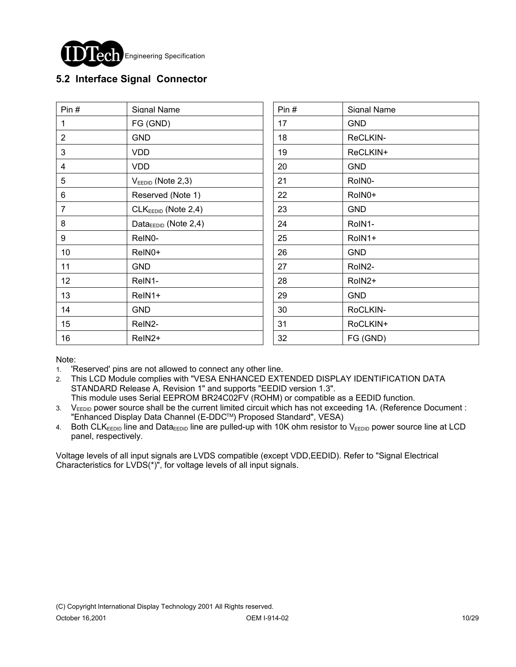

### **5.2 Interface Signal Connector**

| Pin $#$        | Signal Name                       | Pin# | Signal Name |
|----------------|-----------------------------------|------|-------------|
| 1              | FG (GND)                          | 17   | <b>GND</b>  |
| $\overline{2}$ | <b>GND</b>                        | 18   | ReCLKIN-    |
| 3              | <b>VDD</b>                        | 19   | ReCLKIN+    |
| 4              | <b>VDD</b>                        | 20   | <b>GND</b>  |
| 5              | $VEEDID$ (Note 2,3)               | 21   | RoIN0-      |
| 6              | Reserved (Note 1)                 | 22   | RoIN0+      |
| 7              | $CLKEEDID$ (Note 2,4)             | 23   | <b>GND</b>  |
| 8              | Data $_{\text{EEDID}}$ (Note 2,4) | 24   | RoIN1-      |
| 9              | ReIN0-                            | 25   | RoIN1+      |
| 10             | ReIN0+                            | 26   | <b>GND</b>  |
| 11             | <b>GND</b>                        | 27   | RoIN2-      |
| 12             | ReIN1-                            | 28   | RoIN2+      |
| 13             | ReIN1+                            | 29   | <b>GND</b>  |
| 14             | <b>GND</b>                        | 30   | RoCLKIN-    |
| 15             | ReIN2-                            | 31   | RoCLKIN+    |
| 16             | ReIN <sub>2</sub> +               | 32   | FG (GND)    |

Note:

- 1. 'Reserved' pins are not allowed to connect any other line.
- 2. This LCD Module complies with "VESA ENHANCED EXTENDED DISPLAY IDENTIFICATION DATA STANDARD Release A, Revision 1" and supports "EEDID version 1.3".
- This module uses Serial EEPROM BR24C02FV (ROHM) or compatible as a EEDID function. 3. VEEDID power source shall be the current limited circuit which has not exceeding 1A. (Reference Document : "Enhanced Display Data Channel (E-DDCTM) Proposed Standard", VESA)
- 4. Both CLKEEDID line and DataEEDID line are pulled-up with 10K ohm resistor to VEEDID power source line at LCD panel, respectively.

Voltage levels of all input signals are LVDS compatible (except VDD,EEDID). Refer to "Signal Electrical Characteristics for LVDS(\*)", for voltage levels of all input signals.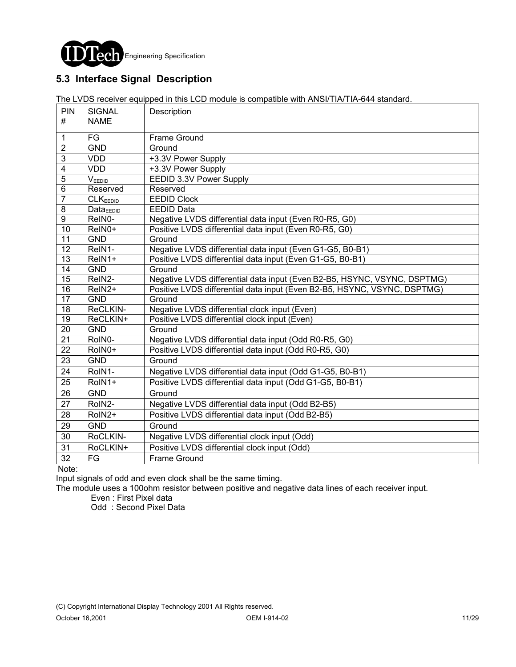

### **5.3 Interface Signal Description**

The LVDS receiver equipped in this LCD module is compatible with ANSI/TIA/TIA-644 standard.

| <b>PIN</b><br>#         | <b>SIGNAL</b><br><b>NAME</b> | Description                                                              |
|-------------------------|------------------------------|--------------------------------------------------------------------------|
|                         |                              |                                                                          |
| $\mathbf{1}$            | FG                           | <b>Frame Ground</b>                                                      |
| $\overline{2}$          | <b>GND</b>                   | Ground                                                                   |
| $\mathfrak{3}$          | <b>VDD</b>                   | +3.3V Power Supply                                                       |
| $\overline{\mathbf{4}}$ | <b>VDD</b>                   | +3.3V Power Supply                                                       |
| $\overline{5}$          | $V_{\text{EEDID}}$           | EEDID 3.3V Power Supply                                                  |
| $6\phantom{1}$          | Reserved                     | Reserved                                                                 |
| $\overline{7}$          | CLK <sub>EEDID</sub>         | <b>EEDID Clock</b>                                                       |
| 8                       | <b>DataEEDID</b>             | <b>EEDID Data</b>                                                        |
| $\overline{9}$          | ReIN0-                       | Negative LVDS differential data input (Even R0-R5, G0)                   |
| $\overline{10}$         | ReIN0+                       | Positive LVDS differential data input (Even R0-R5, G0)                   |
| $\overline{11}$         | <b>GND</b>                   | Ground                                                                   |
| $\overline{12}$         | ReIN1-                       | Negative LVDS differential data input (Even G1-G5, B0-B1)                |
| $\overline{13}$         | ReIN1+                       | Positive LVDS differential data input (Even G1-G5, B0-B1)                |
| 14                      | <b>GND</b>                   | Ground                                                                   |
| 15                      | ReIN2-                       | Negative LVDS differential data input (Even B2-B5, HSYNC, VSYNC, DSPTMG) |
| $\overline{16}$         | ReIN <sub>2+</sub>           | Positive LVDS differential data input (Even B2-B5, HSYNC, VSYNC, DSPTMG) |
| $\overline{17}$         | <b>GND</b>                   | Ground                                                                   |
| 18                      | ReCLKIN-                     | Negative LVDS differential clock input (Even)                            |
| 19                      | ReCLKIN+                     | Positive LVDS differential clock input (Even)                            |
| $\overline{20}$         | <b>GND</b>                   | Ground                                                                   |
| $\overline{21}$         | RoIN0-                       | Negative LVDS differential data input (Odd R0-R5, G0)                    |
| $\overline{22}$         | RoIN0+                       | Positive LVDS differential data input (Odd R0-R5, G0)                    |
| 23                      | <b>GND</b>                   | Ground                                                                   |
| 24                      | RoIN1-                       | Negative LVDS differential data input (Odd G1-G5, B0-B1)                 |
| 25                      | RoIN1+                       | Positive LVDS differential data input (Odd G1-G5, B0-B1)                 |
| 26                      | <b>GND</b>                   | Ground                                                                   |
| 27                      | RoIN2-                       | Negative LVDS differential data input (Odd B2-B5)                        |
| 28                      | RoIN2+                       | Positive LVDS differential data input (Odd B2-B5)                        |
| 29                      | <b>GND</b>                   | Ground                                                                   |
| 30                      | RoCLKIN-                     | Negative LVDS differential clock input (Odd)                             |
| 31                      | RoCLKIN+                     | Positive LVDS differential clock input (Odd)                             |
| 32                      | FG                           | <b>Frame Ground</b>                                                      |

Note:

Input signals of odd and even clock shall be the same timing.

The module uses a 100ohm resistor between positive and negative data lines of each receiver input.

Even : First Pixel data

Odd : Second Pixel Data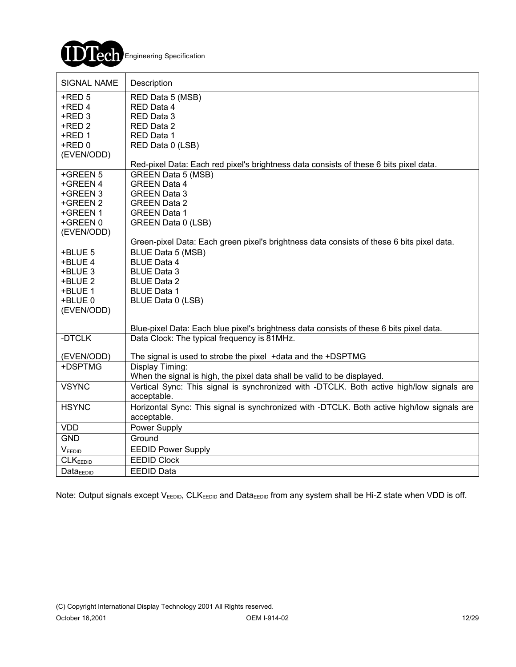

| <b>SIGNAL NAME</b>   | Description                                                                                |
|----------------------|--------------------------------------------------------------------------------------------|
| $+$ RED 5            | RED Data 5 (MSB)                                                                           |
| +RED 4               | RED Data 4                                                                                 |
| +RED 3               | RED Data 3                                                                                 |
| +RED 2               | RED Data 2                                                                                 |
| +RED 1               | RED Data 1                                                                                 |
| +RED 0               | RED Data 0 (LSB)                                                                           |
| (EVEN/ODD)           |                                                                                            |
|                      | Red-pixel Data: Each red pixel's brightness data consists of these 6 bits pixel data.      |
| +GREEN 5             | <b>GREEN Data 5 (MSB)</b>                                                                  |
| +GREEN 4             | <b>GREEN Data 4</b>                                                                        |
| +GREEN 3             | <b>GREEN Data 3</b>                                                                        |
| +GREEN 2             | <b>GREEN Data 2</b>                                                                        |
| +GREEN 1             | <b>GREEN Data 1</b>                                                                        |
| +GREEN 0             | GREEN Data 0 (LSB)                                                                         |
| (EVEN/ODD)           |                                                                                            |
|                      | Green-pixel Data: Each green pixel's brightness data consists of these 6 bits pixel data.  |
| +BLUE 5              | BLUE Data 5 (MSB)                                                                          |
| +BLUE 4              | <b>BLUE Data 4</b>                                                                         |
| +BLUE 3              | <b>BLUE Data 3</b>                                                                         |
| +BLUE 2              | <b>BLUE Data 2</b>                                                                         |
| +BLUE 1              | <b>BLUE Data 1</b>                                                                         |
| +BLUE 0              | BLUE Data 0 (LSB)                                                                          |
| (EVEN/ODD)           |                                                                                            |
|                      | Blue-pixel Data: Each blue pixel's brightness data consists of these 6 bits pixel data.    |
| -DTCLK               | Data Clock: The typical frequency is 81MHz.                                                |
| (EVEN/ODD)           | The signal is used to strobe the pixel +data and the +DSPTMG                               |
| +DSPTMG              | Display Timing:                                                                            |
|                      | When the signal is high, the pixel data shall be valid to be displayed.                    |
| <b>VSYNC</b>         | Vertical Sync: This signal is synchronized with -DTCLK. Both active high/low signals are   |
|                      | acceptable.                                                                                |
| <b>HSYNC</b>         | Horizontal Sync: This signal is synchronized with -DTCLK. Both active high/low signals are |
|                      | acceptable.                                                                                |
| <b>VDD</b>           | Power Supply                                                                               |
| <b>GND</b>           | Ground                                                                                     |
| VEEDID               | <b>EEDID Power Supply</b>                                                                  |
| <b>CLKEEDID</b>      | <b>EEDID Clock</b>                                                                         |
| Data <sub>EDID</sub> | <b>EEDID Data</b>                                                                          |

Note: Output signals except  $V_{EEDID}$ , CLK<sub>EEDID</sub> and Data<sub>EEDID</sub> from any system shall be Hi-Z state when VDD is off.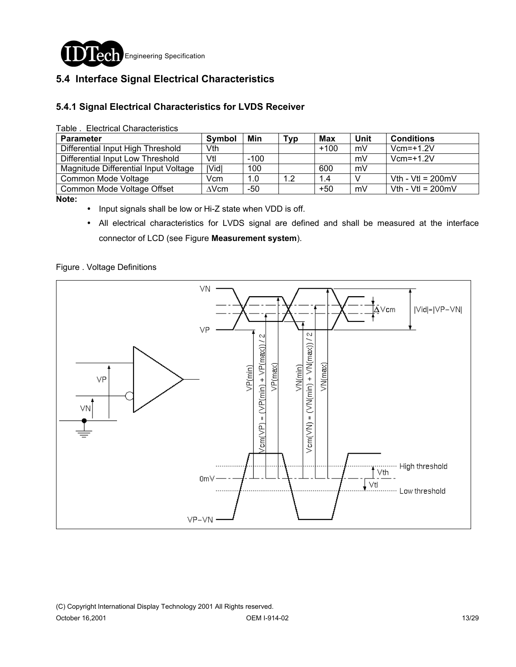

### **5.4 Interface Signal Electrical Characteristics**

#### **5.4.1 Signal Electrical Characteristics for LVDS Receiver**

| <b>Parameter</b>                     | <b>Symbol</b> | Min    | Тур | <b>Max</b> | Unit | <b>Conditions</b>           |
|--------------------------------------|---------------|--------|-----|------------|------|-----------------------------|
| Differential Input High Threshold    | Vth           |        |     | $+100$     | mV   | $Vcm=+1.2V$                 |
| Differential Input Low Threshold     | Vtl           | $-100$ |     |            | mV   | $Vcm=+1.2V$                 |
| Magnitude Differential Input Voltage | Vid           | 100    |     | 600        | mV   |                             |
| Common Mode Voltage                  | Vcm           | 1.0    | 1.2 | 1.4        |      | Vth - Vtl = $200 \text{mV}$ |
| Common Mode Voltage Offset           | $\Delta$ Vcm  | $-50$  |     | $+50$      | mV   | Vth - Vtl = $200 \text{mV}$ |

**Note:** 

- ! Input signals shall be low or Hi-Z state when VDD is off.
- ! All electrical characteristics for LVDS signal are defined and shall be measured at the interface connector of LCD (see Figure **Measurement system**).

#### Figure . Voltage Definitions

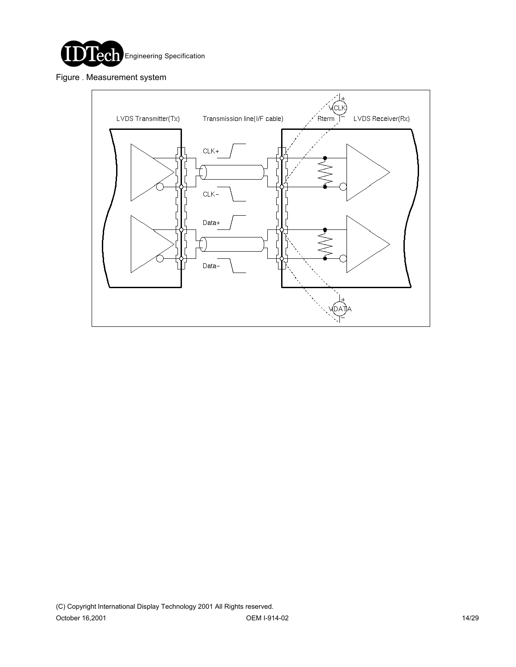

Figure . Measurement system

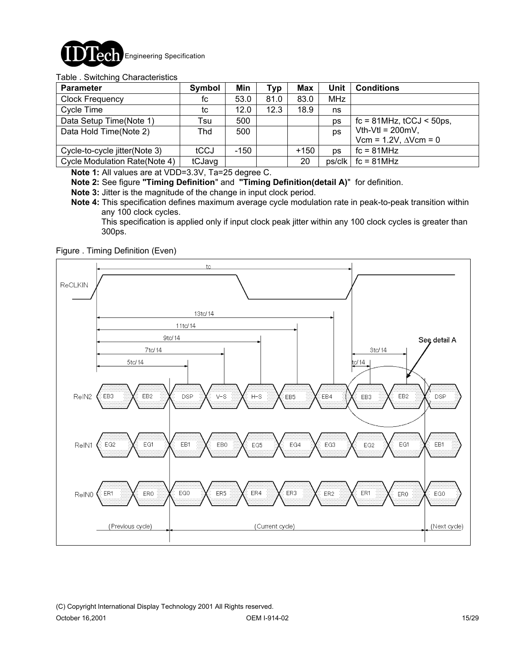

#### Table . Switching Characteristics

| <b>Parameter</b>              | Symbol | Min  | Typ  | Max    | Unit       | <b>Conditions</b>                |
|-------------------------------|--------|------|------|--------|------------|----------------------------------|
| <b>Clock Frequency</b>        | fc     | 53.0 | 81.0 | 83.0   | <b>MHz</b> |                                  |
| Cycle Time                    | tc     | 12.0 | 12.3 | 18.9   | ns         |                                  |
| Data Setup Time(Note 1)       | Tsu    | 500  |      |        | ps         | $fc = 81 MHz$ , $tCCJ < 50 ps$ , |
| Data Hold Time(Note 2)        | Thd    | 500  |      |        | ps         | Vth-Vtl = $200mV$ ,              |
|                               |        |      |      |        |            | Vcm = $1.2V$ , $\Delta V$ cm = 0 |
| Cycle-to-cycle jitter(Note 3) | tCCJ   | -150 |      | $+150$ | <b>DS</b>  | $fc = 81 MHz$                    |
| Cycle Modulation Rate(Note 4) | tCJavg |      |      | 20     | ps/clk     | $fc = 81 MHz$                    |

**Note 1:** All values are at VDD=3.3V, Ta=25 degree C.

**Note 2:** See figure **"Timing Definition**" and **"Timing Definition(detail A)**" for definition.

- **Note 3:** Jitter is the magnitude of the change in input clock period.
- **Note 4:** This specification defines maximum average cycle modulation rate in peak-to-peak transition within any 100 clock cycles.

 This specification is applied only if input clock peak jitter within any 100 clock cycles is greater than 300ps.

Figure . Timing Definition (Even)

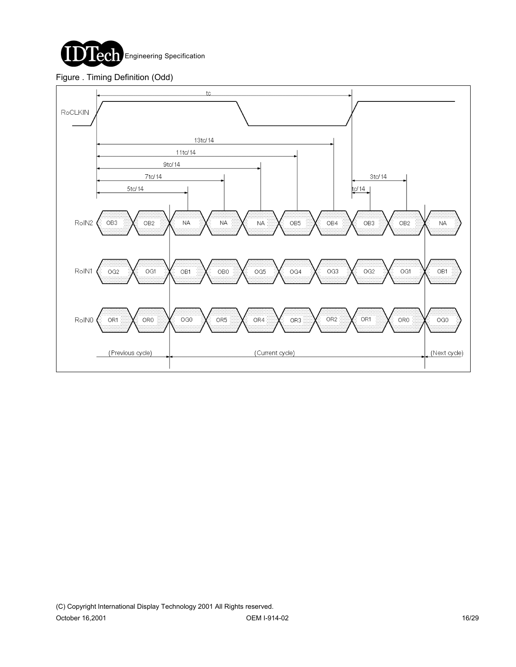

#### Figure . Timing Definition (Odd)

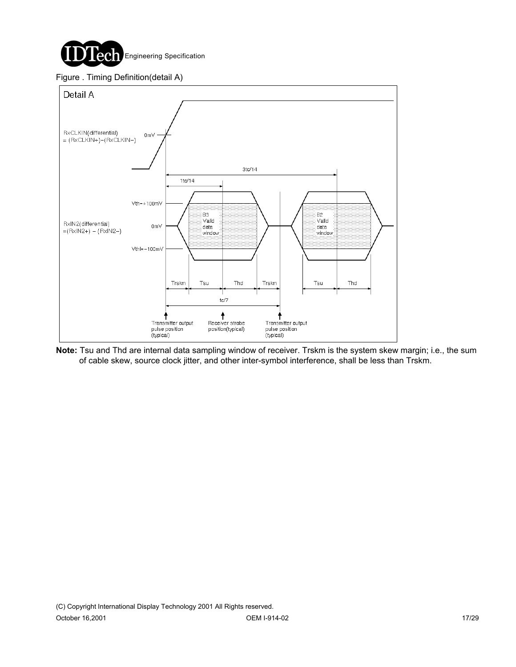

#### Figure . Timing Definition(detail A)



**Note:** Tsu and Thd are internal data sampling window of receiver. Trskm is the system skew margin; i.e., the sum of cable skew, source clock jitter, and other inter-symbol interference, shall be less than Trskm.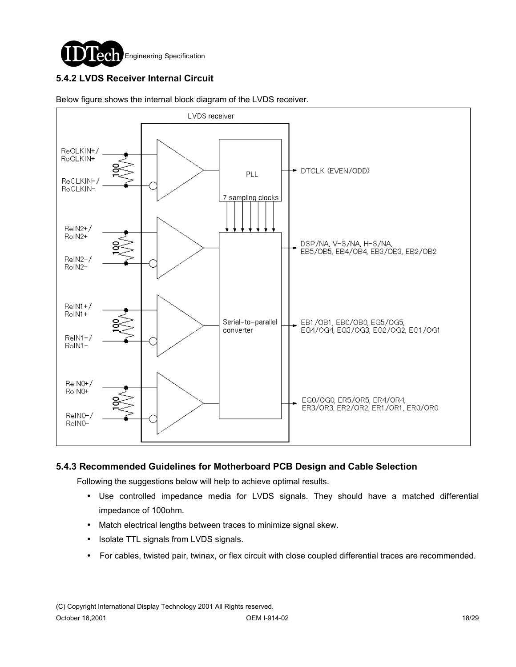

### **5.4.2 LVDS Receiver Internal Circuit**



Below figure shows the internal block diagram of the LVDS receiver.

#### **5.4.3 Recommended Guidelines for Motherboard PCB Design and Cable Selection**

Following the suggestions below will help to achieve optimal results.

- ! Use controlled impedance media for LVDS signals. They should have a matched differential impedance of 100ohm.
- ! Match electrical lengths between traces to minimize signal skew.
- Isolate TTL signals from LVDS signals.
- ! For cables, twisted pair, twinax, or flex circuit with close coupled differential traces are recommended.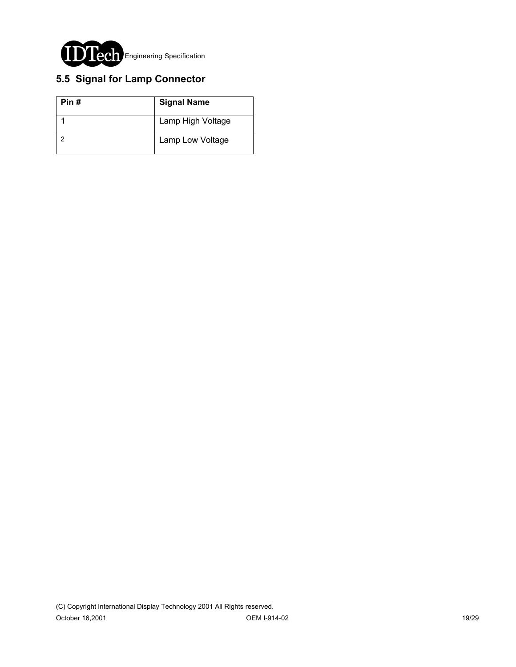

## **5.5 Signal for Lamp Connector**

| Pin# | <b>Signal Name</b> |
|------|--------------------|
|      | Lamp High Voltage  |
|      | Lamp Low Voltage   |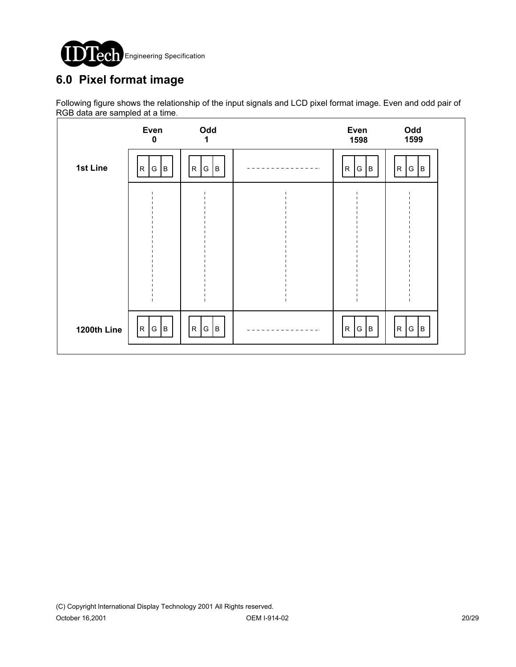

# **6.0 Pixel format image**

Following figure shows the relationship of the input signals and LCD pixel format image. Even and odd pair of RGB data are sampled at a time.

|             | Even<br>$\mathbf 0$        | Odd<br>1                  | Even<br>1598                     | Odd<br>1599            |  |
|-------------|----------------------------|---------------------------|----------------------------------|------------------------|--|
| 1st Line    | ${\sf R}$<br>B<br> G       | $R_{\parallel}$<br>G<br>B | ${\sf R}$<br>$\overline{B}$<br>G | R<br>$\mathsf G$<br>Iв |  |
|             |                            |                           |                                  |                        |  |
|             |                            |                           |                                  |                        |  |
|             |                            |                           |                                  |                        |  |
|             |                            |                           |                                  |                        |  |
| 1200th Line | $\overline{R}$<br> G <br>B | G<br>${\sf R}$<br> B      | G<br>${\sf R}$<br>$\, {\bf B}$   | G B<br>R               |  |
|             |                            |                           |                                  |                        |  |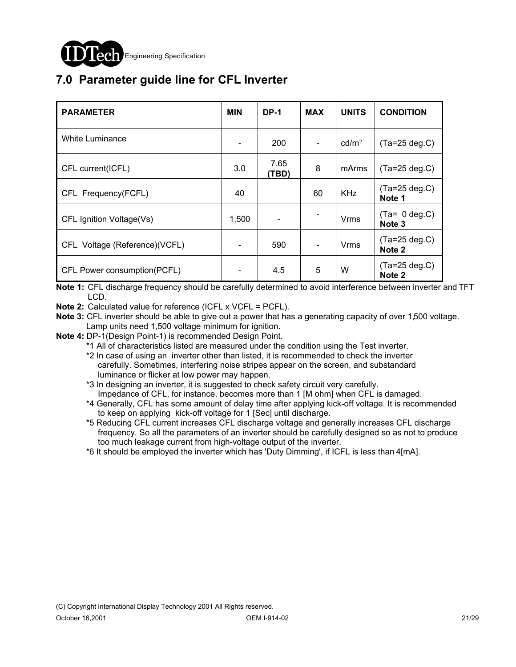

# **7.0 Parameter guide line for CFL Inverter**

| <b>PARAMETER</b>              | <b>MIN</b> | <b>DP-1</b>   | <b>MAX</b>     | <b>UNITS</b>      | <b>CONDITION</b>                      |
|-------------------------------|------------|---------------|----------------|-------------------|---------------------------------------|
| White Luminance               |            | 200           | $\blacksquare$ | cd/m <sup>2</sup> | $(Ta=25 deg.C)$                       |
| CFL current(ICFL)             | 3.0        | 7.65<br>(TBD) | 8              | mArms             | $(Ta=25 deg.C)$                       |
| CFL Frequency(FCFL)           | 40         |               | 60             | <b>KHz</b>        | $(Ta=25 \deg.C)$<br>Note 1            |
| CFL Ignition Voltage(Vs)      | 1,500      |               |                | Vrms              | $(Ta= 0 deg.C)$<br>Note 3             |
| CFL Voltage (Reference)(VCFL) |            | 590           | $\blacksquare$ | <b>Vrms</b>       | $(Ta=25 deg.C)$<br>Note 2             |
| CFL Power consumption(PCFL)   |            | 4.5           | 5              | W                 | $(Ta=25 \deg.C)$<br>Note <sub>2</sub> |

**Note 1:** CFL discharge frequency should be carefully determined to avoid interference between inverter and TFT LCD.

**Note 2:** Calculated value for reference (ICFL x VCFL = PCFL).

**Note 3:** CFL inverter should be able to give out a power that has a generating capacity of over 1,500 voltage. Lamp units need 1,500 voltage minimum for ignition.

**Note 4:** DP-1(Design Point-1) is recommended Design Point.

\*1 All of characteristics listed are measured under the condition using the Test inverter.

 \*2 In case of using an inverter other than listed, it is recommended to check the inverter carefully. Sometimes, interfering noise stripes appear on the screen, and substandard luminance or flicker at low power may happen.

 \*3 In designing an inverter, it is suggested to check safety circuit very carefully. Impedance of CFL, for instance, becomes more than 1 [M ohm] when CFL is damaged.

 \*4 Generally, CFL has some amount of delay time after applying kick-off voltage. It is recommended to keep on applying kick-off voltage for 1 [Sec] until discharge.

 \*5 Reducing CFL current increases CFL discharge voltage and generally increases CFL discharge frequency. So all the parameters of an inverter should be carefully designed so as not to produce too much leakage current from high-voltage output of the inverter.

\*6 It should be employed the inverter which has 'Duty Dimming', if ICFL is less than 4[mA].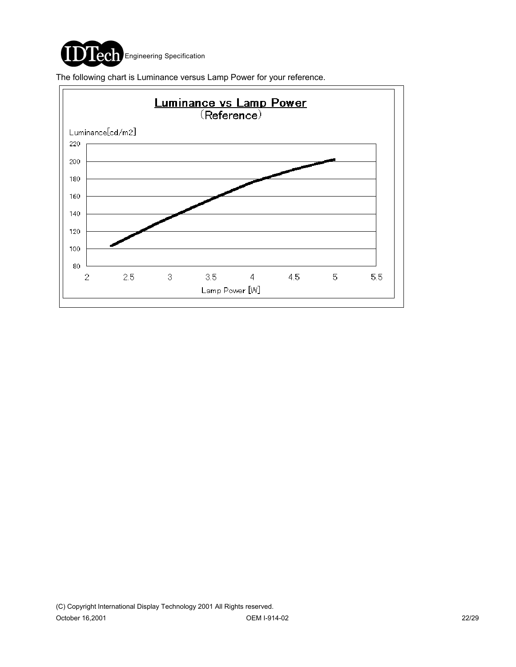

The following chart is Luminance versus Lamp Power for your reference.

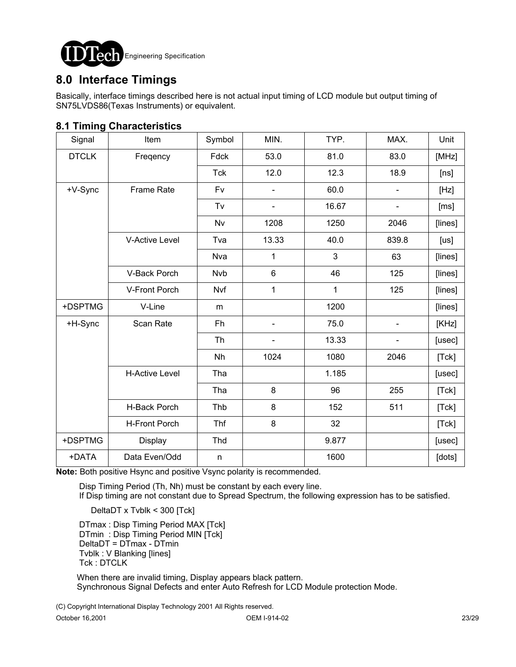

## **8.0 Interface Timings**

Basically, interface timings described here is not actual input timing of LCD module but output timing of SN75LVDS86(Texas Instruments) or equivalent.

#### **8.1 Timing Characteristics**

| Signal       | Item                  | Symbol     | MIN.           | TYP.  | MAX.                     | Unit    |
|--------------|-----------------------|------------|----------------|-------|--------------------------|---------|
| <b>DTCLK</b> | Freqency              | Fdck       | 53.0           | 81.0  | 83.0                     | [MHz]   |
|              |                       | <b>Tck</b> | 12.0           | 12.3  | 18.9                     | [ns]    |
| +V-Sync      | <b>Frame Rate</b>     | Fv         |                | 60.0  |                          | [Hz]    |
|              |                       | Tv         |                | 16.67 |                          | [ms]    |
|              |                       | Nv         | 1208           | 1250  | 2046                     | [lines] |
|              | <b>V-Active Level</b> | Tva        | 13.33          | 40.0  | 839.8                    | [us]    |
|              |                       | <b>Nva</b> | 1              | 3     | 63                       | [lines] |
|              | V-Back Porch          | <b>Nvb</b> | $6\phantom{1}$ | 46    | 125                      | [lines] |
|              | V-Front Porch         | Nvf        | 1              | 1     | 125                      | [lines] |
| +DSPTMG      | V-Line                | m          |                | 1200  |                          | [lines] |
| +H-Sync      | Scan Rate             | Fh         |                | 75.0  | $\overline{\phantom{0}}$ | [KHz]   |
|              |                       | Th         |                | 13.33 |                          | [usec]  |
|              |                       | Nh         | 1024           | 1080  | 2046                     | [Tck]   |
|              | <b>H-Active Level</b> | Tha        |                | 1.185 |                          | [usec]  |
|              |                       | Tha        | 8              | 96    | 255                      | [Tck]   |
|              | H-Back Porch          | Thb        | 8              | 152   | 511                      | [Tck]   |
|              | <b>H-Front Porch</b>  | Thf        | 8              | 32    |                          | [Tck]   |
| +DSPTMG      | Display               | Thd        |                | 9.877 |                          | [usec]  |
| +DATA        | Data Even/Odd         | n          |                | 1600  |                          | [dots]  |

**Note:** Both positive Hsync and positive Vsync polarity is recommended.

Disp Timing Period (Th, Nh) must be constant by each every line.

If Disp timing are not constant due to Spread Spectrum, the following expression has to be satisfied.

DeltaDT x Tvblk < 300 [Tck]

DTmax : Disp Timing Period MAX [Tck] DTmin : Disp Timing Period MIN [Tck] DeltaDT = DTmax - DTmin Tvblk : V Blanking [lines] Tck : DTCLK

 When there are invalid timing, Display appears black pattern. Synchronous Signal Defects and enter Auto Refresh for LCD Module protection Mode.

(C) Copyright International Display Technology 2001 All Rights reserved.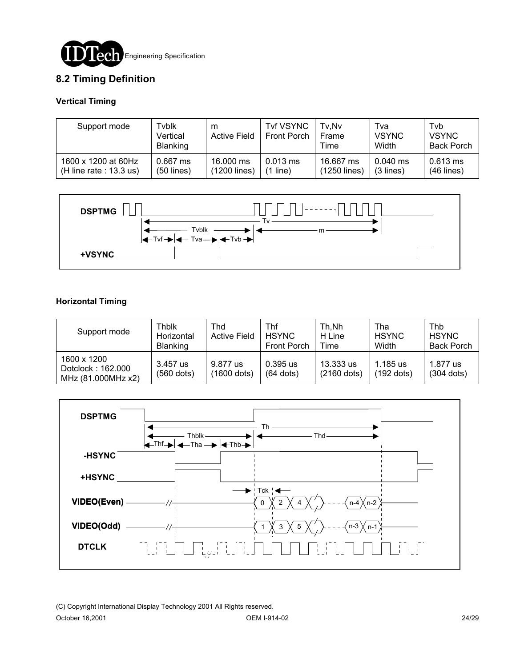

### **8.2 Timing Definition**

#### **Vertical Timing**

| Support mode                                     | Tvblk<br>Vertical<br><b>Blanking</b> | m<br><b>Active Field</b>  | <b>Tvf VSYNC</b><br>Front Porch | Tv.Nv<br><b>Frame</b><br>Time | Tva<br><b>VSYNC</b><br>Width | Tyb<br><b>VSYNC</b><br><b>Back Porch</b> |
|--------------------------------------------------|--------------------------------------|---------------------------|---------------------------------|-------------------------------|------------------------------|------------------------------------------|
| 1600 x 1200 at 60Hz<br>(H line rate : $13.3$ us) | $0.667$ ms<br>$(50$ lines)           | 16,000 ms<br>(1200 lines) | $0.013$ ms<br>line)<br>11       | 16.667 ms<br>(1250 lines)     | $0.040$ ms<br>$(3$ lines)    | $0.613$ ms<br>$(46$ lines)               |



#### **Horizontal Timing**

| Support mode                                           | Thblk<br>Horizontal<br><b>Blanking</b> | Thd<br><b>Active Field</b> | Thf<br><b>HSYNC</b><br>Front Porch | Th.Nh<br>H Line<br>Time    | Tha<br><b>HSYNC</b><br>Width | Thb<br><b>HSYNC</b><br><b>Back Porch</b> |
|--------------------------------------------------------|----------------------------------------|----------------------------|------------------------------------|----------------------------|------------------------------|------------------------------------------|
| 1600 x 1200<br>Dotclock: 162.000<br>MHz (81.000MHz x2) | 3.457 us<br>$(560$ dots)               | 9.877 us<br>(1600 dots)    | $0.395$ us<br>$(64$ dots)          | 13.333 us<br>$(2160$ dots) | 1.185 us<br>(192 dots)       | 1.877 us<br>$(304$ dots)                 |

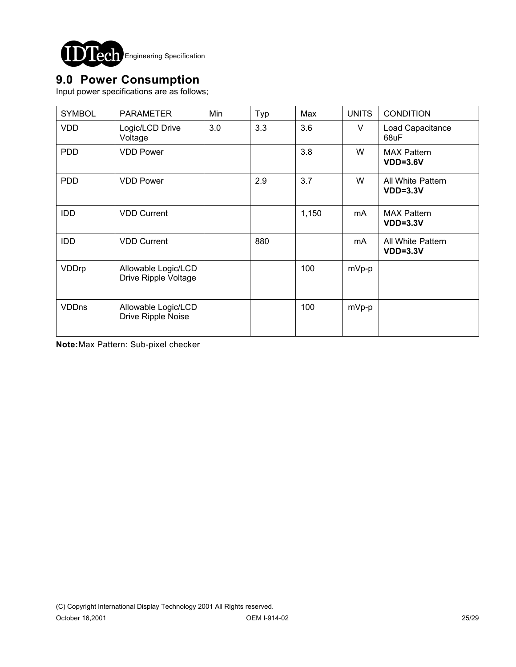

## **9.0 Power Consumption**

Input power specifications are as follows;

| <b>SYMBOL</b> | <b>PARAMETER</b>                            | Min | Typ | Max   | <b>UNITS</b> | <b>CONDITION</b>                 |
|---------------|---------------------------------------------|-----|-----|-------|--------------|----------------------------------|
| <b>VDD</b>    | Logic/LCD Drive<br>Voltage                  | 3.0 | 3.3 | 3.6   | V            | Load Capacitance<br>68uF         |
| <b>PDD</b>    | <b>VDD Power</b>                            |     |     | 3.8   | W            | <b>MAX Pattern</b><br>$VDD=3.6V$ |
| <b>PDD</b>    | <b>VDD Power</b>                            |     | 2.9 | 3.7   | W            | All White Pattern<br>$VDD=3.3V$  |
| <b>IDD</b>    | <b>VDD Current</b>                          |     |     | 1,150 | mA.          | <b>MAX Pattern</b><br>$VDD=3.3V$ |
| <b>IDD</b>    | <b>VDD Current</b>                          |     | 880 |       | mA.          | All White Pattern<br>$VDD=3.3V$  |
| VDDrp         | Allowable Logic/LCD<br>Drive Ripple Voltage |     |     | 100   | mVp-p        |                                  |
| <b>VDDns</b>  | Allowable Logic/LCD<br>Drive Ripple Noise   |     |     | 100   | mVp-p        |                                  |

**Note:**Max Pattern: Sub-pixel checker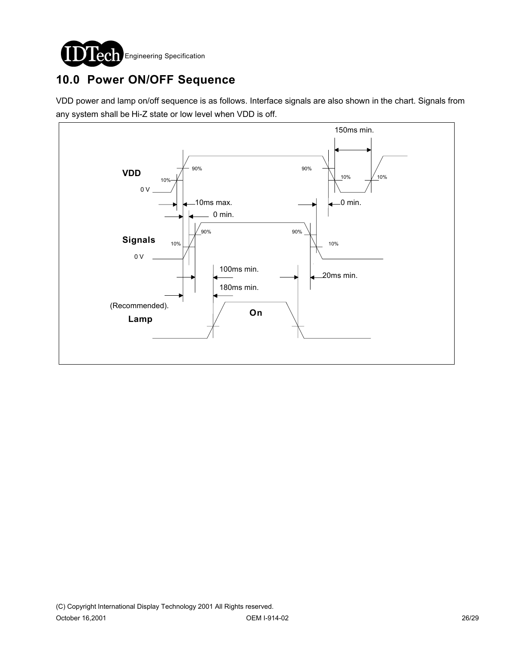

# **10.0 Power ON/OFF Sequence**

VDD power and lamp on/off sequence is as follows. Interface signals are also shown in the chart. Signals from any system shall be Hi-Z state or low level when VDD is off.

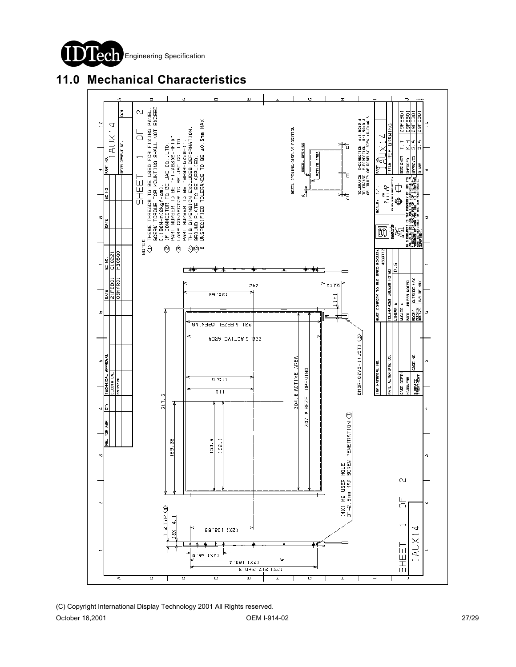

## **11.0 Mechanical Characteristics**

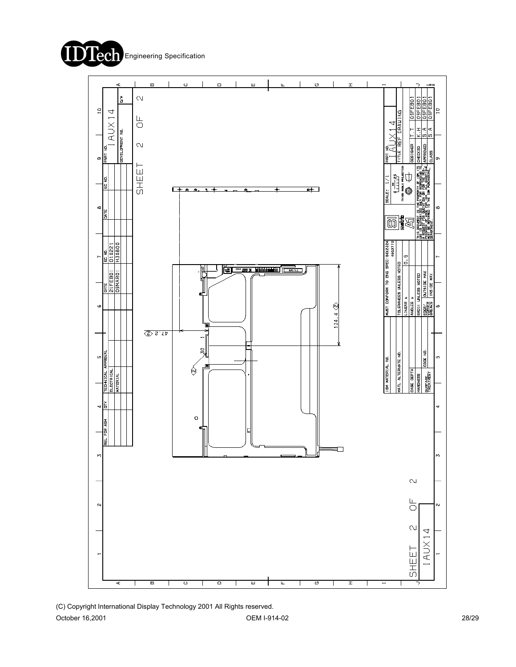



(C) Copyright International Display Technology 2001 All Rights reserved.